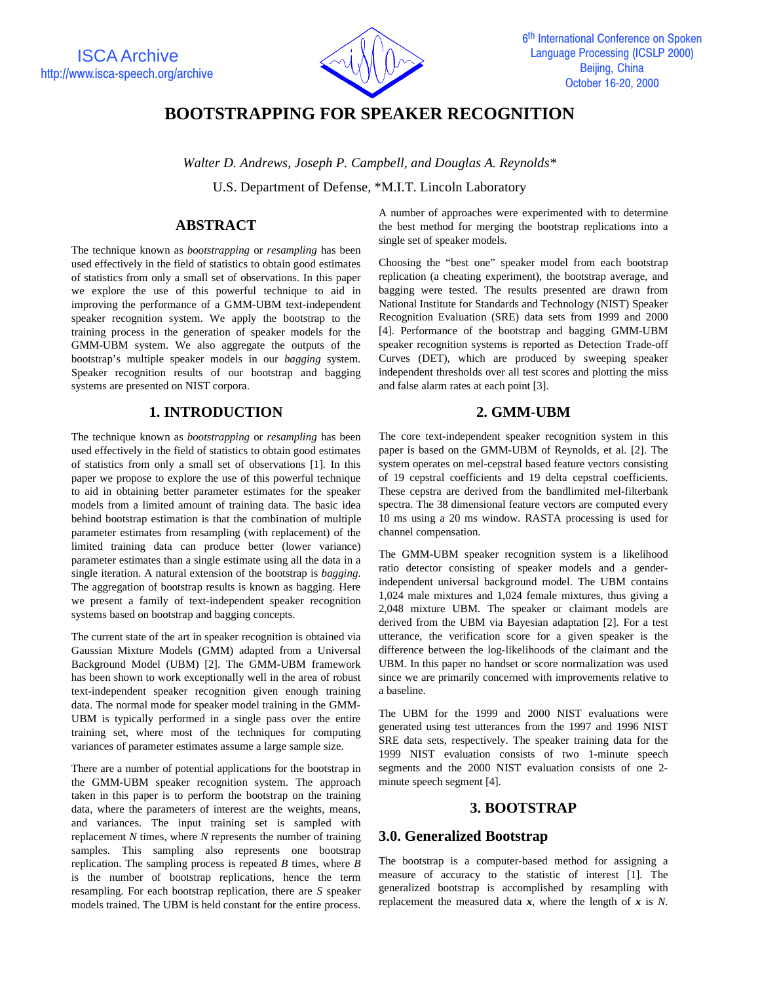

# **BOOTSTRAPPING FOR SPEAKER RECOGNITION**

*Walter D. Andrews, Joseph P. Campbell, and Douglas A. Reynolds\**

U.S. Department of Defense, \*M.I.T. Lincoln Laboratory

# **ABSTRACT**

The technique known as *bootstrapping* or *resampling* has been used effectively in the field of statistics to obtain good estimates of statistics from only a small set of observations. In this paper we explore the use of this powerful technique to aid in improving the performance of a GMM-UBM text-independent speaker recognition system. We apply the bootstrap to the training process in the generation of speaker models for the GMM-UBM system. We also aggregate the outputs of the bootstrap's multiple speaker models in our *bagging* system. Speaker recognition results of our bootstrap and bagging systems are presented on NIST corpora.

## **1. INTRODUCTION**

The technique known as *bootstrapping* or *resampling* has been used effectively in the field of statistics to obtain good estimates of statistics from only a small set of observations [1]. In this paper we propose to explore the use of this powerful technique to aid in obtaining better parameter estimates for the speaker models from a limited amount of training data. The basic idea behind bootstrap estimation is that the combination of multiple parameter estimates from resampling (with replacement) of the limited training data can produce better (lower variance) parameter estimates than a single estimate using all the data in a single iteration. A natural extension of the bootstrap is *bagging*. The aggregation of bootstrap results is known as bagging. Here we present a family of text-independent speaker recognition systems based on bootstrap and bagging concepts.

The current state of the art in speaker recognition is obtained via Gaussian Mixture Models (GMM) adapted from a Universal Background Model (UBM) [2]. The GMM-UBM framework has been shown to work exceptionally well in the area of robust text-independent speaker recognition given enough training data. The normal mode for speaker model training in the GMM-UBM is typically performed in a single pass over the entire training set, where most of the techniques for computing variances of parameter estimates assume a large sample size.

There are a number of potential applications for the bootstrap in the GMM-UBM speaker recognition system. The approach taken in this paper is to perform the bootstrap on the training data, where the parameters of interest are the weights, means, and variances. The input training set is sampled with replacement *N* times, where *N* represents the number of training samples. This sampling also represents one bootstrap replication. The sampling process is repeated *B* times, where *B* is the number of bootstrap replications, hence the term resampling. For each bootstrap replication, there are *S* speaker models trained. The UBM is held constant for the entire process.

A number of approaches were experimented with to determine the best method for merging the bootstrap replications into a single set of speaker models.

Choosing the "best one" speaker model from each bootstrap replication (a cheating experiment), the bootstrap average, and bagging were tested. The results presented are drawn from National Institute for Standards and Technology (NIST) Speaker Recognition Evaluation (SRE) data sets from 1999 and 2000 [4]. Performance of the bootstrap and bagging GMM-UBM speaker recognition systems is reported as Detection Trade-off Curves (DET), which are produced by sweeping speaker independent thresholds over all test scores and plotting the miss and false alarm rates at each point [3].

# **2. GMM-UBM**

The core text-independent speaker recognition system in this paper is based on the GMM-UBM of Reynolds, et al. [2]. The system operates on mel-cepstral based feature vectors consisting of 19 cepstral coefficients and 19 delta cepstral coefficients. These cepstra are derived from the bandlimited mel-filterbank spectra. The 38 dimensional feature vectors are computed every 10 ms using a 20 ms window. RASTA processing is used for channel compensation.

The GMM-UBM speaker recognition system is a likelihood ratio detector consisting of speaker models and a genderindependent universal background model. The UBM contains 1,024 male mixtures and 1,024 female mixtures, thus giving a 2,048 mixture UBM. The speaker or claimant models are derived from the UBM via Bayesian adaptation [2]. For a test utterance, the verification score for a given speaker is the difference between the log-likelihoods of the claimant and the UBM. In this paper no handset or score normalization was used since we are primarily concerned with improvements relative to a baseline.

The UBM for the 1999 and 2000 NIST evaluations were generated using test utterances from the 1997 and 1996 NIST SRE data sets, respectively. The speaker training data for the 1999 NIST evaluation consists of two 1-minute speech segments and the 2000 NIST evaluation consists of one 2 minute speech segment [4].

### **3. BOOTSTRAP**

### **3.0. Generalized Bootstrap**

The bootstrap is a computer-based method for assigning a measure of accuracy to the statistic of interest [1]. The generalized bootstrap is accomplished by resampling with replacement the measured data *x*, where the length of *x* is *N*.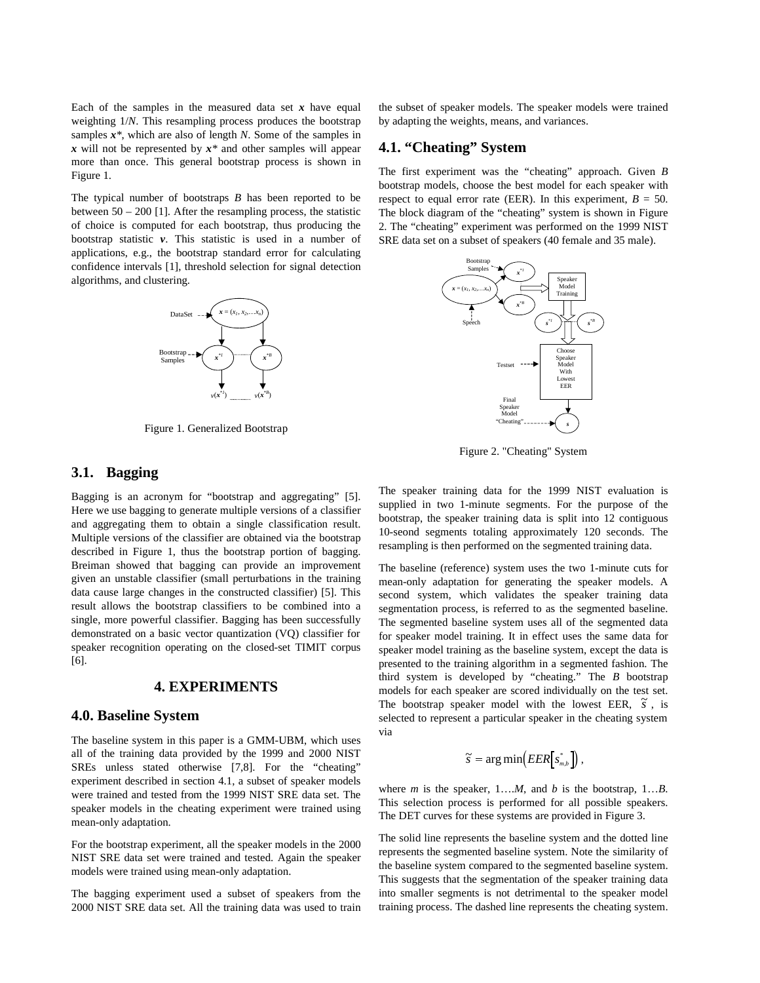Each of the samples in the measured data set  $x$  have equal weighting 1/*N*. This resampling process produces the bootstrap samples *x\**, which are also of length *N*. Some of the samples in *x* will not be represented by *x\** and other samples will appear more than once. This general bootstrap process is shown in Figure 1.

The typical number of bootstraps *B* has been reported to be between  $50 - 200$  [1]. After the resampling process, the statistic of choice is computed for each bootstrap, thus producing the bootstrap statistic *v*. This statistic is used in a number of applications, e.g., the bootstrap standard error for calculating confidence intervals [1], threshold selection for signal detection algorithms, and clustering.



Figure 1. Generalized Bootstrap

#### **3.1. Bagging**

Bagging is an acronym for "bootstrap and aggregating" [5]. Here we use bagging to generate multiple versions of a classifier and aggregating them to obtain a single classification result. Multiple versions of the classifier are obtained via the bootstrap described in Figure 1, thus the bootstrap portion of bagging. Breiman showed that bagging can provide an improvement given an unstable classifier (small perturbations in the training data cause large changes in the constructed classifier) [5]. This result allows the bootstrap classifiers to be combined into a single, more powerful classifier. Bagging has been successfully demonstrated on a basic vector quantization (VQ) classifier for speaker recognition operating on the closed-set TIMIT corpus [6].

#### **4. EXPERIMENTS**

#### **4.0. Baseline System**

The baseline system in this paper is a GMM-UBM, which uses all of the training data provided by the 1999 and 2000 NIST SREs unless stated otherwise [7,8]. For the "cheating" experiment described in section 4.1, a subset of speaker models were trained and tested from the 1999 NIST SRE data set. The speaker models in the cheating experiment were trained using mean-only adaptation.

For the bootstrap experiment, all the speaker models in the 2000 NIST SRE data set were trained and tested. Again the speaker models were trained using mean-only adaptation.

The bagging experiment used a subset of speakers from the 2000 NIST SRE data set. All the training data was used to train the subset of speaker models. The speaker models were trained by adapting the weights, means, and variances.

### **4.1. "Cheating" System**

The first experiment was the "cheating" approach. Given *B* bootstrap models, choose the best model for each speaker with respect to equal error rate (EER). In this experiment,  $B = 50$ . The block diagram of the "cheating" system is shown in Figure 2. The "cheating" experiment was performed on the 1999 NIST SRE data set on a subset of speakers (40 female and 35 male).



Figure 2. "Cheating" System

The speaker training data for the 1999 NIST evaluation is supplied in two 1-minute segments. For the purpose of the bootstrap, the speaker training data is split into 12 contiguous 10-seond segments totaling approximately 120 seconds. The resampling is then performed on the segmented training data.

The baseline (reference) system uses the two 1-minute cuts for mean-only adaptation for generating the speaker models. A second system, which validates the speaker training data segmentation process, is referred to as the segmented baseline. The segmented baseline system uses all of the segmented data for speaker model training. It in effect uses the same data for speaker model training as the baseline system, except the data is presented to the training algorithm in a segmented fashion. The third system is developed by "cheating." The *B* bootstrap models for each speaker are scored individually on the test set. The bootstrap speaker model with the lowest EER,  $\tilde{s}$ , is selected to represent a particular speaker in the cheating system via

$$
\widetilde{s} = \arg\min\!\left(\text{EER}\!\left[s_{_{m,b}}^{*}\right]\!\right),
$$

where *m* is the speaker, 1….*M*, and *b* is the bootstrap, 1…*B*. This selection process is performed for all possible speakers. The DET curves for these systems are provided in Figure 3.

The solid line represents the baseline system and the dotted line represents the segmented baseline system. Note the similarity of the baseline system compared to the segmented baseline system. This suggests that the segmentation of the speaker training data into smaller segments is not detrimental to the speaker model training process. The dashed line represents the cheating system.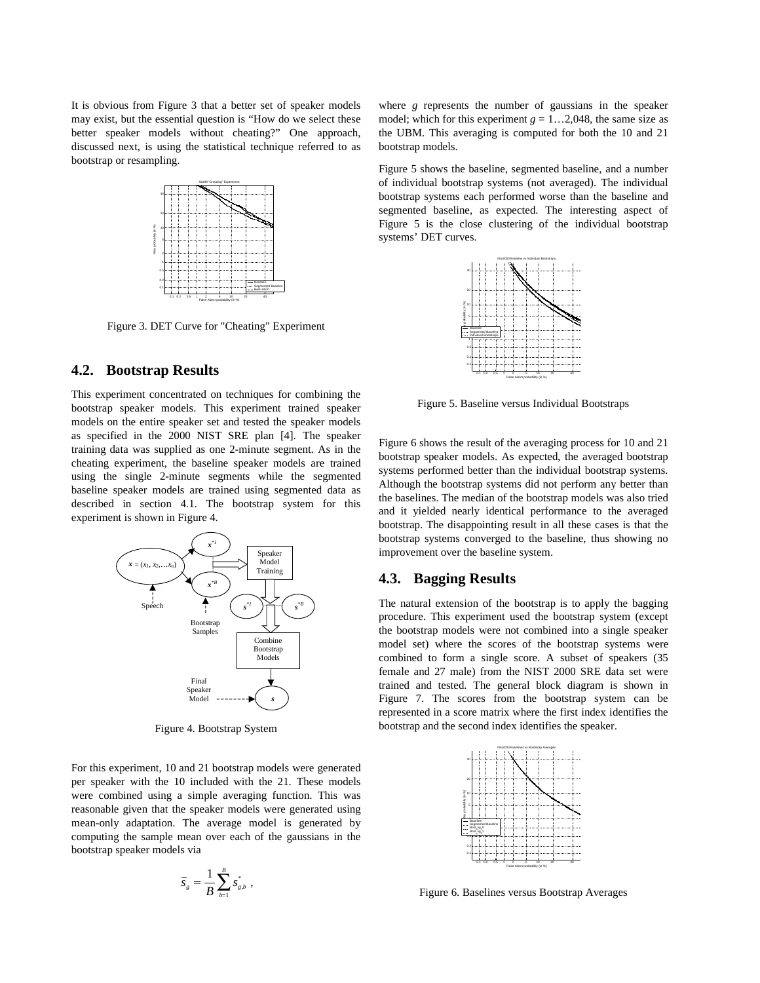It is obvious from Figure 3 that a better set of speaker models may exist, but the essential question is "How do we select these better speaker models without cheating?" One approach, discussed next, is using the statistical technique referred to as bootstrap or resampling.



Figure 3. DET Curve for "Cheating" Experiment

#### **4.2. Bootstrap Results**

This experiment concentrated on techniques for combining the bootstrap speaker models. This experiment trained speaker models on the entire speaker set and tested the speaker models as specified in the 2000 NIST SRE plan [4]. The speaker training data was supplied as one 2-minute segment. As in the cheating experiment, the baseline speaker models are trained using the single 2-minute segments while the segmented baseline speaker models are trained using segmented data as described in section 4.1. The bootstrap system for this experiment is shown in Figure 4.



Figure 4. Bootstrap System

For this experiment, 10 and 21 bootstrap models were generated per speaker with the 10 included with the 21. These models were combined using a simple averaging function. This was reasonable given that the speaker models were generated using mean-only adaptation. The average model is generated by computing the sample mean over each of the gaussians in the bootstrap speaker models via

$$
\overline{S}_g = \frac{1}{B} \sum_{b=1}^B s_{g,b}^*,
$$

where *g* represents the number of gaussians in the speaker model; which for this experiment  $g = 1...2,048$ , the same size as the UBM. This averaging is computed for both the 10 and 21 bootstrap models.

Figure 5 shows the baseline, segmented baseline, and a number of individual bootstrap systems (not averaged). The individual bootstrap systems each performed worse than the baseline and segmented baseline, as expected. The interesting aspect of Figure 5 is the close clustering of the individual bootstrap systems' DET curves.



Figure 5. Baseline versus Individual Bootstraps

Figure 6 shows the result of the averaging process for 10 and 21 bootstrap speaker models. As expected, the averaged bootstrap systems performed better than the individual bootstrap systems. Although the bootstrap systems did not perform any better than the baselines. The median of the bootstrap models was also tried and it yielded nearly identical performance to the averaged bootstrap. The disappointing result in all these cases is that the bootstrap systems converged to the baseline, thus showing no improvement over the baseline system.

#### **4.3. Bagging Results**

The natural extension of the bootstrap is to apply the bagging procedure. This experiment used the bootstrap system (except the bootstrap models were not combined into a single speaker model set) where the scores of the bootstrap systems were combined to form a single score. A subset of speakers (35 female and 27 male) from the NIST 2000 SRE data set were trained and tested. The general block diagram is shown in Figure 7. The scores from the bootstrap system can be represented in a score matrix where the first index identifies the bootstrap and the second index identifies the speaker.



Figure 6. Baselines versus Bootstrap Averages